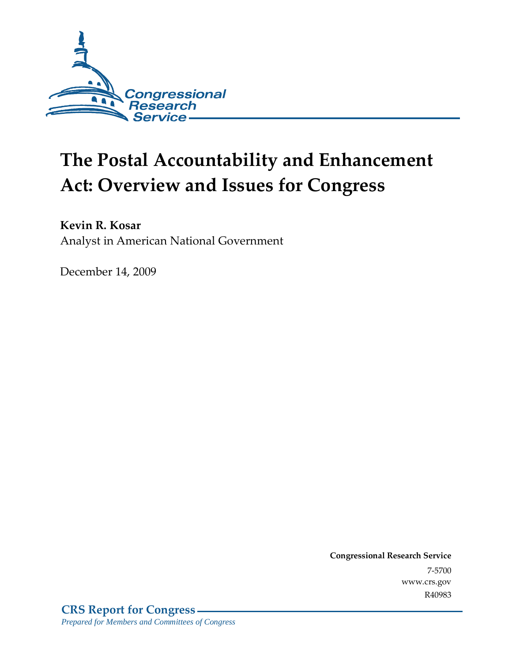

# **The Postal Accountability and Enhancement Act: Overview and Issues for Congress**

**Kevin R. Kosar** 

Analyst in American National Government

December 14, 2009

**Congressional Research Service** 7-5700 www.crs.gov R40983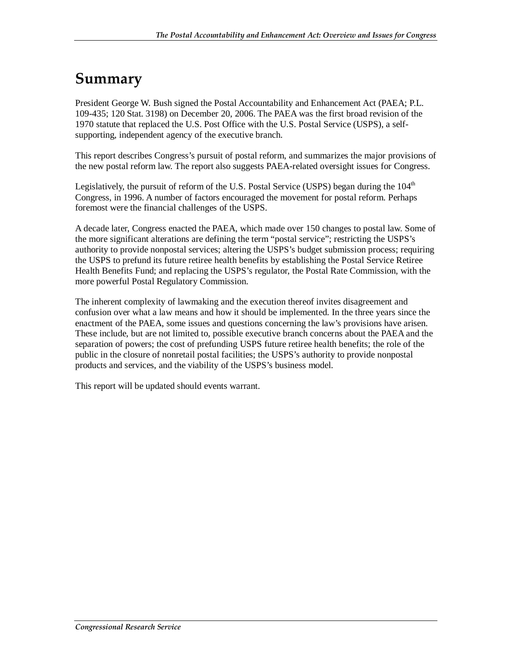## **Summary**

President George W. Bush signed the Postal Accountability and Enhancement Act (PAEA; P.L. 109-435; 120 Stat. 3198) on December 20, 2006. The PAEA was the first broad revision of the 1970 statute that replaced the U.S. Post Office with the U.S. Postal Service (USPS), a selfsupporting, independent agency of the executive branch.

This report describes Congress's pursuit of postal reform, and summarizes the major provisions of the new postal reform law. The report also suggests PAEA-related oversight issues for Congress.

Legislatively, the pursuit of reform of the U.S. Postal Service (USPS) began during the  $104<sup>th</sup>$ Congress, in 1996. A number of factors encouraged the movement for postal reform. Perhaps foremost were the financial challenges of the USPS.

A decade later, Congress enacted the PAEA, which made over 150 changes to postal law. Some of the more significant alterations are defining the term "postal service"; restricting the USPS's authority to provide nonpostal services; altering the USPS's budget submission process; requiring the USPS to prefund its future retiree health benefits by establishing the Postal Service Retiree Health Benefits Fund; and replacing the USPS's regulator, the Postal Rate Commission, with the more powerful Postal Regulatory Commission.

The inherent complexity of lawmaking and the execution thereof invites disagreement and confusion over what a law means and how it should be implemented. In the three years since the enactment of the PAEA, some issues and questions concerning the law's provisions have arisen. These include, but are not limited to, possible executive branch concerns about the PAEA and the separation of powers; the cost of prefunding USPS future retiree health benefits; the role of the public in the closure of nonretail postal facilities; the USPS's authority to provide nonpostal products and services, and the viability of the USPS's business model.

This report will be updated should events warrant.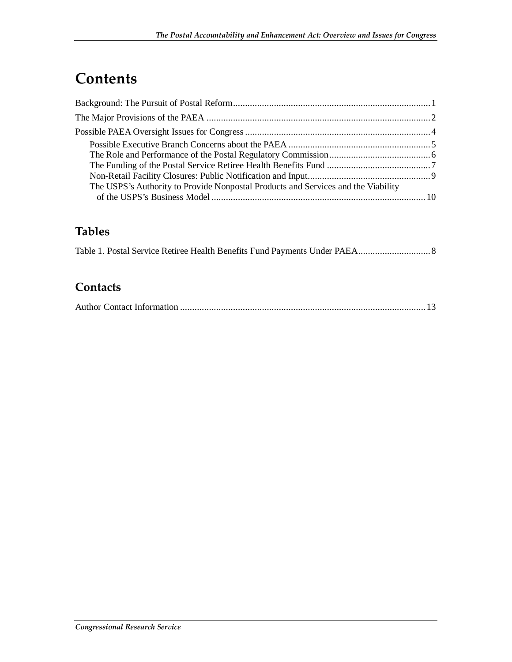# **Contents**

| The USPS's Authority to Provide Nonpostal Products and Services and the Viability |  |
|-----------------------------------------------------------------------------------|--|
|                                                                                   |  |

### **Tables**

### **Contacts**

|--|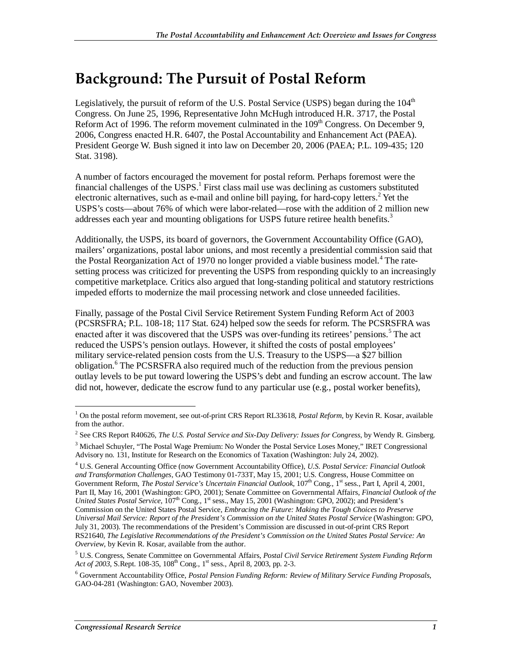### **Background: The Pursuit of Postal Reform**

Legislatively, the pursuit of reform of the U.S. Postal Service (USPS) began during the  $104<sup>th</sup>$ Congress. On June 25, 1996, Representative John McHugh introduced H.R. 3717, the Postal Reform Act of 1996. The reform movement culminated in the 109<sup>th</sup> Congress. On December 9, 2006, Congress enacted H.R. 6407, the Postal Accountability and Enhancement Act (PAEA). President George W. Bush signed it into law on December 20, 2006 (PAEA; P.L. 109-435; 120 Stat. 3198).

A number of factors encouraged the movement for postal reform. Perhaps foremost were the financial challenges of the  $USPS$ .<sup>1</sup> First class mail use was declining as customers substituted electronic alternatives, such as e-mail and online bill paying, for hard-copy letters.<sup>2</sup> Yet the USPS's costs—about 76% of which were labor-related—rose with the addition of 2 million new addresses each year and mounting obligations for USPS future retiree health benefits.<sup>3</sup>

Additionally, the USPS, its board of governors, the Government Accountability Office (GAO), mailers' organizations, postal labor unions, and most recently a presidential commission said that the Postal Reorganization Act of 1970 no longer provided a viable business model.<sup>4</sup> The ratesetting process was criticized for preventing the USPS from responding quickly to an increasingly competitive marketplace. Critics also argued that long-standing political and statutory restrictions impeded efforts to modernize the mail processing network and close unneeded facilities.

Finally, passage of the Postal Civil Service Retirement System Funding Reform Act of 2003 (PCSRSFRA; P.L. 108-18; 117 Stat. 624) helped sow the seeds for reform. The PCSRSFRA was enacted after it was discovered that the USPS was over-funding its retirees' pensions.<sup>5</sup> The act reduced the USPS's pension outlays. However, it shifted the costs of postal employees' military service-related pension costs from the U.S. Treasury to the USPS—a \$27 billion obligation.<sup>6</sup> The PCSRSFRA also required much of the reduction from the previous pension outlay levels to be put toward lowering the USPS's debt and funding an escrow account. The law did not, however, dedicate the escrow fund to any particular use (e.g., postal worker benefits),

 1 On the postal reform movement, see out-of-print CRS Report RL33618, *Postal Reform*, by Kevin R. Kosar, available from the author.

<sup>2</sup> See CRS Report R40626, *The U.S. Postal Service and Six-Day Delivery: Issues for Congress*, by Wendy R. Ginsberg.

<sup>&</sup>lt;sup>3</sup> Michael Schuyler, "The Postal Wage Premium: No Wonder the Postal Service Loses Money," IRET Congressional Advisory no. 131, Institute for Research on the Economics of Taxation (Washington: July 24, 2002).

<sup>4</sup> U.S. General Accounting Office (now Government Accountability Office), *U.S. Postal Service: Financial Outlook and Transformation Challenges*, GAO Testimony 01-733T, May 15, 2001; U.S. Congress, House Committee on Government Reform, *The Postal Service's Uncertain Financial Outlook*, 107<sup>th</sup> Cong., 1<sup>st</sup> sess., Part I, April 4, 2001, Part II, May 16, 2001 (Washington: GPO, 2001); Senate Committee on Governmental Affairs, *Financial Outlook of the United States Postal Service*, 107<sup>th</sup> Cong., 1<sup>st</sup> sess., May 15, 2001 (Washington: GPO, 2002); and President's Commission on the United States Postal Service, *Embracing the Future: Making the Tough Choices to Preserve Universal Mail Service: Report of the President's Commission on the United States Postal Service* (Washington: GPO, July 31, 2003). The recommendations of the President's Commission are discussed in out-of-print CRS Report RS21640, *The Legislative Recommendations of the President's Commission on the United States Postal Service: An Overview*, by Kevin R. Kosar, available from the author.

<sup>5</sup> U.S. Congress, Senate Committee on Governmental Affairs, *Postal Civil Service Retirement System Funding Reform Act of 2003*, S.Rept. 108-35, 108<sup>th</sup> Cong., 1<sup>st</sup> sess., April 8, 2003, pp. 2-3.

<sup>6</sup> Government Accountability Office, *Postal Pension Funding Reform: Review of Military Service Funding Proposals*, GAO-04-281 (Washington: GAO, November 2003).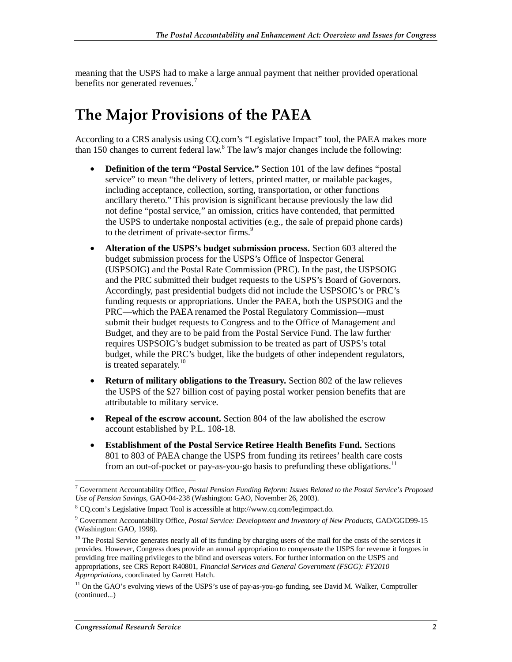meaning that the USPS had to make a large annual payment that neither provided operational benefits nor generated revenues.<sup>7</sup>

### **The Major Provisions of the PAEA**

According to a CRS analysis using CQ.com's "Legislative Impact" tool, the PAEA makes more than 150 changes to current federal law.<sup>8</sup> The law's major changes include the following:

- **Definition of the term "Postal Service."** Section 101 of the law defines "postal service" to mean "the delivery of letters, printed matter, or mailable packages, including acceptance, collection, sorting, transportation, or other functions ancillary thereto." This provision is significant because previously the law did not define "postal service," an omission, critics have contended, that permitted the USPS to undertake nonpostal activities (e.g., the sale of prepaid phone cards) to the detriment of private-sector firms.<sup>9</sup>
- **Alteration of the USPS's budget submission process.** Section 603 altered the budget submission process for the USPS's Office of Inspector General (USPSOIG) and the Postal Rate Commission (PRC). In the past, the USPSOIG and the PRC submitted their budget requests to the USPS's Board of Governors. Accordingly, past presidential budgets did not include the USPSOIG's or PRC's funding requests or appropriations. Under the PAEA, both the USPSOIG and the PRC—which the PAEA renamed the Postal Regulatory Commission—must submit their budget requests to Congress and to the Office of Management and Budget, and they are to be paid from the Postal Service Fund. The law further requires USPSOIG's budget submission to be treated as part of USPS's total budget, while the PRC's budget, like the budgets of other independent regulators, is treated separately. $10$
- **Return of military obligations to the Treasury.** Section 802 of the law relieves the USPS of the \$27 billion cost of paying postal worker pension benefits that are attributable to military service.
- **Repeal of the escrow account.** Section 804 of the law abolished the escrow account established by P.L. 108-18.
- **Establishment of the Postal Service Retiree Health Benefits Fund.** Sections 801 to 803 of PAEA change the USPS from funding its retirees' health care costs from an out-of-pocket or pay-as-you-go basis to prefunding these obligations.<sup>11</sup>

 7 Government Accountability Office, *Postal Pension Funding Reform: Issues Related to the Postal Service's Proposed Use of Pension Savings*, GAO-04-238 (Washington: GAO, November 26, 2003).

<sup>8</sup> CQ.com's Legislative Impact Tool is accessible at http://www.cq.com/legimpact.do.

<sup>9</sup> Government Accountability Office, *Postal Service: Development and Inventory of New Products*, GAO/GGD99-15 (Washington: GAO, 1998).

<sup>&</sup>lt;sup>10</sup> The Postal Service generates nearly all of its funding by charging users of the mail for the costs of the services it provides. However, Congress does provide an annual appropriation to compensate the USPS for revenue it forgoes in providing free mailing privileges to the blind and overseas voters. For further information on the USPS and appropriations, see CRS Report R40801, *Financial Services and General Government (FSGG): FY2010 Appropriations*, coordinated by Garrett Hatch.

<sup>&</sup>lt;sup>11</sup> On the GAO's evolving views of the USPS's use of pay-as-you-go funding, see David M. Walker, Comptroller (continued...)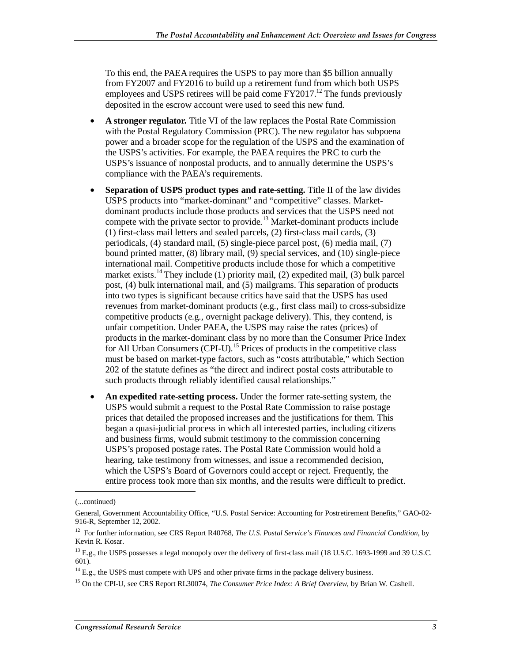To this end, the PAEA requires the USPS to pay more than \$5 billion annually from FY2007 and FY2016 to build up a retirement fund from which both USPS employees and USPS retirees will be paid come  $FY2017<sup>12</sup>$ . The funds previously deposited in the escrow account were used to seed this new fund.

- **A stronger regulator.** Title VI of the law replaces the Postal Rate Commission with the Postal Regulatory Commission (PRC). The new regulator has subpoena power and a broader scope for the regulation of the USPS and the examination of the USPS's activities. For example, the PAEA requires the PRC to curb the USPS's issuance of nonpostal products, and to annually determine the USPS's compliance with the PAEA's requirements.
- **Separation of USPS product types and rate-setting.** Title II of the law divides USPS products into "market-dominant" and "competitive" classes. Marketdominant products include those products and services that the USPS need not compete with the private sector to provide.<sup>13</sup> Market-dominant products include (1) first-class mail letters and sealed parcels, (2) first-class mail cards, (3) periodicals, (4) standard mail, (5) single-piece parcel post, (6) media mail, (7) bound printed matter, (8) library mail, (9) special services, and (10) single-piece international mail. Competitive products include those for which a competitive market exists.<sup>14</sup> They include  $(1)$  priority mail,  $(2)$  expedited mail,  $(3)$  bulk parcel post, (4) bulk international mail, and (5) mailgrams. This separation of products into two types is significant because critics have said that the USPS has used revenues from market-dominant products (e.g., first class mail) to cross-subsidize competitive products (e.g., overnight package delivery). This, they contend, is unfair competition. Under PAEA, the USPS may raise the rates (prices) of products in the market-dominant class by no more than the Consumer Price Index for All Urban Consumers (CPI-U).<sup>15</sup> Prices of products in the competitive class must be based on market-type factors, such as "costs attributable," which Section 202 of the statute defines as "the direct and indirect postal costs attributable to such products through reliably identified causal relationships."
- An expedited rate-setting process. Under the former rate-setting system, the USPS would submit a request to the Postal Rate Commission to raise postage prices that detailed the proposed increases and the justifications for them. This began a quasi-judicial process in which all interested parties, including citizens and business firms, would submit testimony to the commission concerning USPS's proposed postage rates. The Postal Rate Commission would hold a hearing, take testimony from witnesses, and issue a recommended decision, which the USPS's Board of Governors could accept or reject. Frequently, the entire process took more than six months, and the results were difficult to predict.

<sup>(...</sup>continued)

General, Government Accountability Office, "U.S. Postal Service: Accounting for Postretirement Benefits," GAO-02- 916-R, September 12, 2002.

<sup>12</sup> For further information, see CRS Report R40768, *The U.S. Postal Service's Finances and Financial Condition*, by Kevin R. Kosar.

 $^{13}$  E.g., the USPS possesses a legal monopoly over the delivery of first-class mail (18 U.S.C. 1693-1999 and 39 U.S.C. 601).

 $14$  E.g., the USPS must compete with UPS and other private firms in the package delivery business.

<sup>15</sup> On the CPI-U, see CRS Report RL30074, *The Consumer Price Index: A Brief Overview*, by Brian W. Cashell.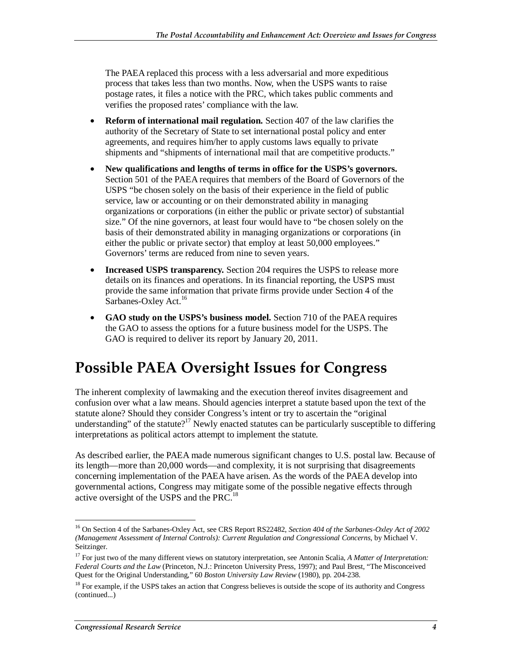The PAEA replaced this process with a less adversarial and more expeditious process that takes less than two months. Now, when the USPS wants to raise postage rates, it files a notice with the PRC, which takes public comments and verifies the proposed rates' compliance with the law.

- **Reform of international mail regulation.** Section 407 of the law clarifies the authority of the Secretary of State to set international postal policy and enter agreements, and requires him/her to apply customs laws equally to private shipments and "shipments of international mail that are competitive products."
- **New qualifications and lengths of terms in office for the USPS's governors.** Section 501 of the PAEA requires that members of the Board of Governors of the USPS "be chosen solely on the basis of their experience in the field of public service, law or accounting or on their demonstrated ability in managing organizations or corporations (in either the public or private sector) of substantial size." Of the nine governors, at least four would have to "be chosen solely on the basis of their demonstrated ability in managing organizations or corporations (in either the public or private sector) that employ at least 50,000 employees." Governors' terms are reduced from nine to seven years.
- **Increased USPS transparency.** Section 204 requires the USPS to release more details on its finances and operations. In its financial reporting, the USPS must provide the same information that private firms provide under Section 4 of the Sarbanes-Oxley Act.<sup>16</sup>
- **GAO study on the USPS's business model.** Section 710 of the PAEA requires the GAO to assess the options for a future business model for the USPS. The GAO is required to deliver its report by January 20, 2011.

### **Possible PAEA Oversight Issues for Congress**

The inherent complexity of lawmaking and the execution thereof invites disagreement and confusion over what a law means. Should agencies interpret a statute based upon the text of the statute alone? Should they consider Congress's intent or try to ascertain the "original understanding" of the statute?<sup>17</sup> Newly enacted statutes can be particularly susceptible to differing interpretations as political actors attempt to implement the statute.

As described earlier, the PAEA made numerous significant changes to U.S. postal law. Because of its length—more than 20,000 words—and complexity, it is not surprising that disagreements concerning implementation of the PAEA have arisen. As the words of the PAEA develop into governmental actions, Congress may mitigate some of the possible negative effects through active oversight of the USPS and the PRC.<sup>18</sup>

<sup>&</sup>lt;u>.</u> 16 On Section 4 of the Sarbanes-Oxley Act, see CRS Report RS22482, *Section 404 of the Sarbanes-Oxley Act of 2002 (Management Assessment of Internal Controls): Current Regulation and Congressional Concerns*, by Michael V. Seitzinger.

<sup>17</sup> For just two of the many different views on statutory interpretation, see Antonin Scalia, *A Matter of Interpretation: Federal Courts and the Law* (Princeton, N.J.: Princeton University Press, 1997); and Paul Brest, "The Misconceived Quest for the Original Understanding," 60 *Boston University Law Review* (1980)*,* pp. 204-238.

<sup>&</sup>lt;sup>18</sup> For example, if the USPS takes an action that Congress believes is outside the scope of its authority and Congress (continued...)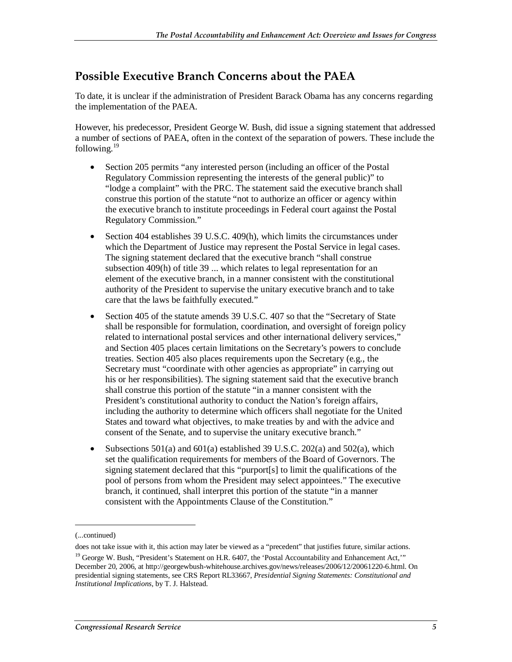### **Possible Executive Branch Concerns about the PAEA**

To date, it is unclear if the administration of President Barack Obama has any concerns regarding the implementation of the PAEA.

However, his predecessor, President George W. Bush, did issue a signing statement that addressed a number of sections of PAEA, often in the context of the separation of powers. These include the following. $19$ 

- Section 205 permits "any interested person (including an officer of the Postal Regulatory Commission representing the interests of the general public)" to "lodge a complaint" with the PRC. The statement said the executive branch shall construe this portion of the statute "not to authorize an officer or agency within the executive branch to institute proceedings in Federal court against the Postal Regulatory Commission."
- Section 404 establishes 39 U.S.C. 409(h), which limits the circumstances under which the Department of Justice may represent the Postal Service in legal cases. The signing statement declared that the executive branch "shall construe subsection 409(h) of title 39 ... which relates to legal representation for an element of the executive branch, in a manner consistent with the constitutional authority of the President to supervise the unitary executive branch and to take care that the laws be faithfully executed."
- Section 405 of the statute amends 39 U.S.C. 407 so that the "Secretary of State" shall be responsible for formulation, coordination, and oversight of foreign policy related to international postal services and other international delivery services," and Section 405 places certain limitations on the Secretary's powers to conclude treaties. Section 405 also places requirements upon the Secretary (e.g., the Secretary must "coordinate with other agencies as appropriate" in carrying out his or her responsibilities). The signing statement said that the executive branch shall construe this portion of the statute "in a manner consistent with the President's constitutional authority to conduct the Nation's foreign affairs, including the authority to determine which officers shall negotiate for the United States and toward what objectives, to make treaties by and with the advice and consent of the Senate, and to supervise the unitary executive branch."
- Subsections  $501(a)$  and  $601(a)$  established 39 U.S.C. 202(a) and  $502(a)$ , which set the qualification requirements for members of the Board of Governors. The signing statement declared that this "purport[s] to limit the qualifications of the pool of persons from whom the President may select appointees." The executive branch, it continued, shall interpret this portion of the statute "in a manner consistent with the Appointments Clause of the Constitution."

1

<sup>(...</sup>continued)

does not take issue with it, this action may later be viewed as a "precedent" that justifies future, similar actions.

<sup>&</sup>lt;sup>19</sup> George W. Bush, "President's Statement on H.R. 6407, the 'Postal Accountability and Enhancement Act," December 20, 2006, at http://georgewbush-whitehouse.archives.gov/news/releases/2006/12/20061220-6.html. On presidential signing statements, see CRS Report RL33667, *Presidential Signing Statements: Constitutional and Institutional Implications*, by T. J. Halstead.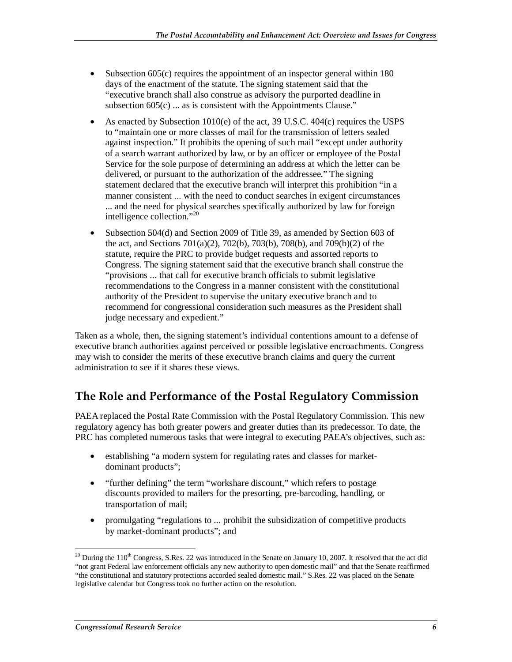- Subsection 605(c) requires the appointment of an inspector general within 180 days of the enactment of the statute. The signing statement said that the "executive branch shall also construe as advisory the purported deadline in subsection  $605(c)$  ... as is consistent with the Appointments Clause."
- As enacted by Subsection 1010(e) of the act, 39 U.S.C. 404(c) requires the USPS to "maintain one or more classes of mail for the transmission of letters sealed against inspection." It prohibits the opening of such mail "except under authority of a search warrant authorized by law, or by an officer or employee of the Postal Service for the sole purpose of determining an address at which the letter can be delivered, or pursuant to the authorization of the addressee." The signing statement declared that the executive branch will interpret this prohibition "in a manner consistent ... with the need to conduct searches in exigent circumstances ... and the need for physical searches specifically authorized by law for foreign intelligence collection."20
- Subsection 504(d) and Section 2009 of Title 39, as amended by Section 603 of the act, and Sections 701(a)(2), 702(b), 703(b), 708(b), and 709(b)(2) of the statute, require the PRC to provide budget requests and assorted reports to Congress. The signing statement said that the executive branch shall construe the "provisions ... that call for executive branch officials to submit legislative recommendations to the Congress in a manner consistent with the constitutional authority of the President to supervise the unitary executive branch and to recommend for congressional consideration such measures as the President shall judge necessary and expedient."

Taken as a whole, then, the signing statement's individual contentions amount to a defense of executive branch authorities against perceived or possible legislative encroachments. Congress may wish to consider the merits of these executive branch claims and query the current administration to see if it shares these views.

### **The Role and Performance of the Postal Regulatory Commission**

PAEA replaced the Postal Rate Commission with the Postal Regulatory Commission. This new regulatory agency has both greater powers and greater duties than its predecessor. To date, the PRC has completed numerous tasks that were integral to executing PAEA's objectives, such as:

- establishing "a modern system for regulating rates and classes for marketdominant products";
- "further defining" the term "workshare discount," which refers to postage discounts provided to mailers for the presorting, pre-barcoding, handling, or transportation of mail;
- promulgating "regulations to ... prohibit the subsidization of competitive products by market-dominant products"; and

<sup>-</sup> $20$  During the 110<sup>th</sup> Congress, S.Res. 22 was introduced in the Senate on January 10, 2007. It resolved that the act did "not grant Federal law enforcement officials any new authority to open domestic mail" and that the Senate reaffirmed "the constitutional and statutory protections accorded sealed domestic mail." S.Res. 22 was placed on the Senate legislative calendar but Congress took no further action on the resolution.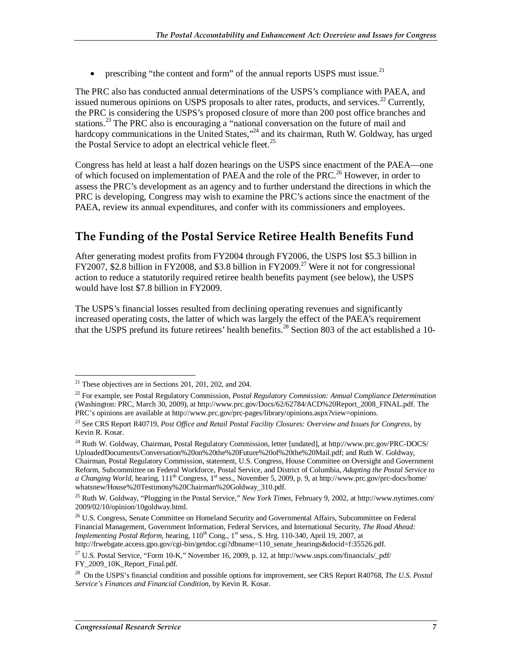• prescribing "the content and form" of the annual reports USPS must issue.<sup>21</sup>

The PRC also has conducted annual determinations of the USPS's compliance with PAEA, and issued numerous opinions on USPS proposals to alter rates, products, and services.<sup>22</sup> Currently, the PRC is considering the USPS's proposed closure of more than 200 post office branches and stations.<sup>23</sup> The PRC also is encouraging a "national conversation on the future of mail and hardcopy communications in the United States,"<sup>24</sup> and its chairman, Ruth W. Goldway, has urged the Postal Service to adopt an electrical vehicle fleet.<sup>25</sup>

Congress has held at least a half dozen hearings on the USPS since enactment of the PAEA—one of which focused on implementation of PAEA and the role of the PRC.<sup>26</sup> However, in order to assess the PRC's development as an agency and to further understand the directions in which the PRC is developing, Congress may wish to examine the PRC's actions since the enactment of the PAEA, review its annual expenditures, and confer with its commissioners and employees.

#### **The Funding of the Postal Service Retiree Health Benefits Fund**

After generating modest profits from FY2004 through FY2006, the USPS lost \$5.3 billion in FY2007, \$2.8 billion in FY2008, and \$3.8 billion in FY2009.<sup>27</sup> Were it not for congressional action to reduce a statutorily required retiree health benefits payment (see below), the USPS would have lost \$7.8 billion in FY2009.

The USPS's financial losses resulted from declining operating revenues and significantly increased operating costs, the latter of which was largely the effect of the PAEA's requirement that the USPS prefund its future retirees' health benefits.<sup>28</sup> Section 803 of the act established a 10-

-

 $21$  These objectives are in Sections 201, 201, 202, and 204.

<sup>22</sup> For example, see Postal Regulatory Commission, *Postal Regulatory Commission: Annual Compliance Determination* (Washington: PRC, March 30, 2009), at http://www.prc.gov/Docs/62/62784/ACD%20Report\_2008\_FINAL.pdf. The PRC's opinions are available at http://www.prc.gov/prc-pages/library/opinions.aspx?view=opinions.

<sup>23</sup> See CRS Report R40719, *Post Office and Retail Postal Facility Closures: Overview and Issues for Congress*, by Kevin R. Kosar.

<sup>&</sup>lt;sup>24</sup> Ruth W. Goldway, Chairman, Postal Regulatory Commission, letter [undated], at http://www.prc.gov/PRC-DOCS/ UploadedDocuments/Conversation%20on%20the%20Future%20of%20the%20Mail.pdf; and Ruth W. Goldway, Chairman, Postal Regulatory Commission, statement, U.S. Congress, House Committee on Oversight and Government Reform, Subcommittee on Federal Workforce, Postal Service, and District of Columbia, *Adapting the Postal Service to a Changing World*, hearing,  $111<sup>th</sup> Congress, 1<sup>st</sup> sess., November 5, 2009, p. 9, at <http://www.prc.gov/prec-docs/home/>$ whatsnew/House%20Testimony%20Chairman%20Goldway\_310.pdf.

<sup>25</sup> Ruth W. Goldway, "Plugging in the Postal Service," *New York Times*, February 9, 2002, at http://www.nytimes.com/ 2009/02/10/opinion/10goldway.html.

<sup>&</sup>lt;sup>26</sup> U.S. Congress, Senate Committee on Homeland Security and Governmental Affairs, Subcommittee on Federal Financial Management, Government Information, Federal Services, and International Security, *The Road Ahead: Implementing Postal Reform*, hearing, 110<sup>th</sup> Cong., 1<sup>st</sup> sess., S. Hrg. 110-340, April 19, 2007, at http://frwebgate.access.gpo.gov/cgi-bin/getdoc.cgi?dbname=110\_senate\_hearings&docid=f:35526.pdf.

 $^{27}$  U.S. Postal Service, "Form 10-K," November 16, 2009, p. 12, at http://www.usps.com/financials/\_pdf/ FY\_2009\_10K\_Report\_Final.pdf.

<sup>28</sup> On the USPS's financial condition and possible options for improvement, see CRS Report R40768, *The U.S. Postal Service's Finances and Financial Condition*, by Kevin R. Kosar.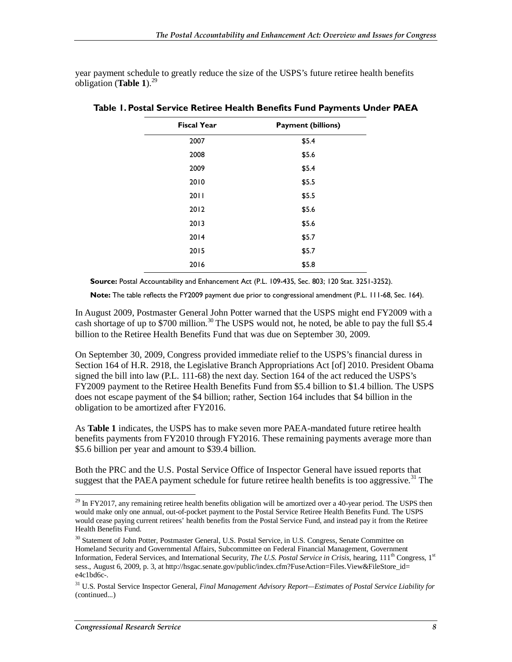year payment schedule to greatly reduce the size of the USPS's future retiree health benefits obligation (Table 1).<sup>29</sup>

| <b>Fiscal Year</b> | <b>Payment (billions)</b> |
|--------------------|---------------------------|
| 2007               | \$5.4                     |
| 2008               | \$5.6                     |
| 2009               | \$5.4                     |
| 2010               | \$5.5                     |
| 2011               | \$5.5                     |
| 2012               | \$5.6                     |
| 2013               | \$5.6                     |
| 2014               | \$5.7                     |
| 2015               | \$5.7                     |
| 2016               | \$5.8                     |

**Table 1. Postal Service Retiree Health Benefits Fund Payments Under PAEA** 

**Source:** Postal Accountability and Enhancement Act (P.L. 109-435, Sec. 803; 120 Stat. 3251-3252).

**Note:** The table reflects the FY2009 payment due prior to congressional amendment (P.L. 111-68, Sec. 164).

In August 2009, Postmaster General John Potter warned that the USPS might end FY2009 with a cash shortage of up to \$700 million.<sup>30</sup> The USPS would not, he noted, be able to pay the full \$5.4 billion to the Retiree Health Benefits Fund that was due on September 30, 2009.

On September 30, 2009, Congress provided immediate relief to the USPS's financial duress in Section 164 of H.R. 2918, the Legislative Branch Appropriations Act [of] 2010. President Obama signed the bill into law (P.L. 111-68) the next day. Section 164 of the act reduced the USPS's FY2009 payment to the Retiree Health Benefits Fund from \$5.4 billion to \$1.4 billion. The USPS does not escape payment of the \$4 billion; rather, Section 164 includes that \$4 billion in the obligation to be amortized after FY2016.

As **Table 1** indicates, the USPS has to make seven more PAEA-mandated future retiree health benefits payments from FY2010 through FY2016. These remaining payments average more than \$5.6 billion per year and amount to \$39.4 billion.

Both the PRC and the U.S. Postal Service Office of Inspector General have issued reports that suggest that the PAEA payment schedule for future retiree health benefits is too aggressive.<sup>31</sup> The

<sup>-</sup> $29$  In FY2017, any remaining retiree health benefits obligation will be amortized over a 40-year period. The USPS then would make only one annual, out-of-pocket payment to the Postal Service Retiree Health Benefits Fund. The USPS would cease paying current retirees' health benefits from the Postal Service Fund, and instead pay it from the Retiree Health Benefits Fund.

<sup>&</sup>lt;sup>30</sup> Statement of John Potter, Postmaster General, U.S. Postal Service, in U.S. Congress, Senate Committee on Homeland Security and Governmental Affairs, Subcommittee on Federal Financial Management, Government Information, Federal Services, and International Security, *The U.S. Postal Service in Crisis*, hearing, 111<sup>th</sup> Congress, 1<sup>st</sup> sess., August 6, 2009, p. 3, at http://hsgac.senate.gov/public/index.cfm?FuseAction=Files.View&FileStore\_id= e4c1bd6c-.

<sup>31</sup> U.S. Postal Service Inspector General, *Final Management Advisory Report—Estimates of Postal Service Liability for*  (continued...)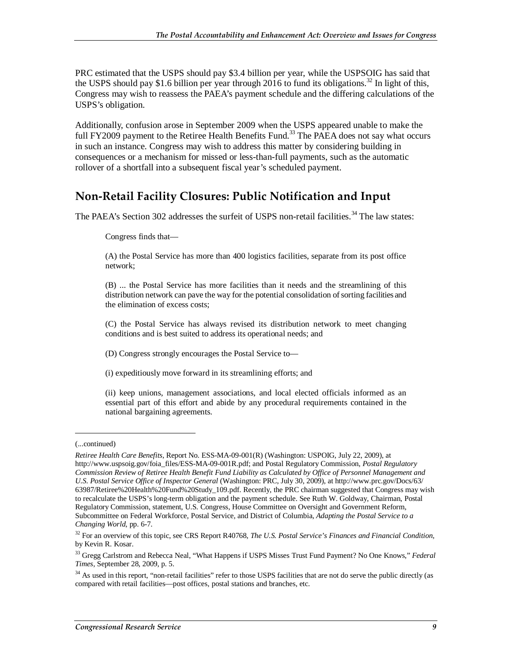PRC estimated that the USPS should pay \$3.4 billion per year, while the USPSOIG has said that the USPS should pay \$1.6 billion per year through 2016 to fund its obligations.<sup>32</sup> In light of this, Congress may wish to reassess the PAEA's payment schedule and the differing calculations of the USPS's obligation.

Additionally, confusion arose in September 2009 when the USPS appeared unable to make the full FY2009 payment to the Retiree Health Benefits Fund.<sup>33</sup> The PAEA does not say what occurs in such an instance. Congress may wish to address this matter by considering building in consequences or a mechanism for missed or less-than-full payments, such as the automatic rollover of a shortfall into a subsequent fiscal year's scheduled payment.

#### **Non-Retail Facility Closures: Public Notification and Input**

The PAEA's Section 302 addresses the surfeit of USPS non-retail facilities.<sup>34</sup> The law states:

Congress finds that—

(A) the Postal Service has more than 400 logistics facilities, separate from its post office network;

(B) ... the Postal Service has more facilities than it needs and the streamlining of this distribution network can pave the way for the potential consolidation of sorting facilities and the elimination of excess costs;

(C) the Postal Service has always revised its distribution network to meet changing conditions and is best suited to address its operational needs; and

(D) Congress strongly encourages the Postal Service to—

(i) expeditiously move forward in its streamlining efforts; and

(ii) keep unions, management associations, and local elected officials informed as an essential part of this effort and abide by any procedural requirements contained in the national bargaining agreements.

1

<sup>(...</sup>continued)

*Retiree Health Care Benefits*, Report No. ESS-MA-09-001(R) (Washington: USPOIG, July 22, 2009), at http://www.uspsoig.gov/foia\_files/ESS-MA-09-001R.pdf; and Postal Regulatory Commission, *Postal Regulatory Commission Review of Retiree Health Benefit Fund Liability as Calculated by Office of Personnel Management and U.S. Postal Service Office of Inspector General* (Washington: PRC, July 30, 2009), at http://www.prc.gov/Docs/63/ 63987/Retiree%20Health%20Fund%20Study\_109.pdf. Recently, the PRC chairman suggested that Congress may wish to recalculate the USPS's long-term obligation and the payment schedule. See Ruth W. Goldway, Chairman, Postal Regulatory Commission, statement, U.S. Congress, House Committee on Oversight and Government Reform, Subcommittee on Federal Workforce, Postal Service, and District of Columbia, *Adapting the Postal Service to a Changing World*, pp. 6-7.

<sup>32</sup> For an overview of this topic, see CRS Report R40768, *The U.S. Postal Service's Finances and Financial Condition*, by Kevin R. Kosar.

<sup>33</sup> Gregg Carlstrom and Rebecca Neal, "What Happens if USPS Misses Trust Fund Payment? No One Knows," *Federal Times*, September 28, 2009, p. 5.

<sup>&</sup>lt;sup>34</sup> As used in this report, "non-retail facilities" refer to those USPS facilities that are not do serve the public directly (as compared with retail facilities—post offices, postal stations and branches, etc.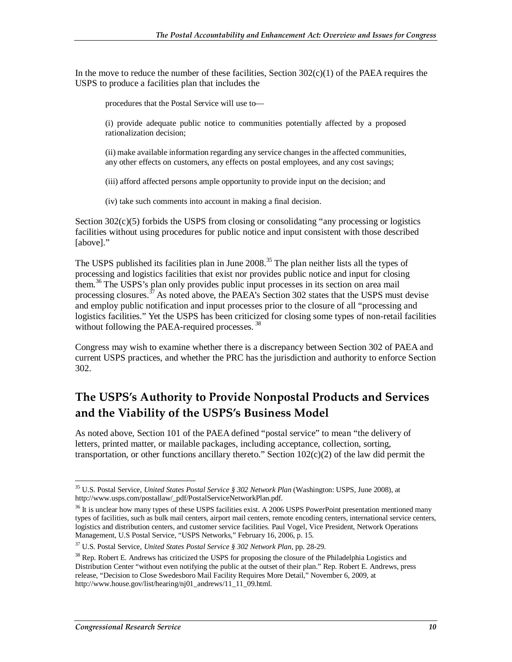In the move to reduce the number of these facilities, Section  $302(c)(1)$  of the PAEA requires the USPS to produce a facilities plan that includes the

procedures that the Postal Service will use to—

(i) provide adequate public notice to communities potentially affected by a proposed rationalization decision;

(ii) make available information regarding any service changes in the affected communities, any other effects on customers, any effects on postal employees, and any cost savings;

(iii) afford affected persons ample opportunity to provide input on the decision; and

(iv) take such comments into account in making a final decision.

Section  $302(c)(5)$  forbids the USPS from closing or consolidating "any processing or logistics facilities without using procedures for public notice and input consistent with those described [above]."

The USPS published its facilities plan in June 2008.<sup>35</sup> The plan neither lists all the types of processing and logistics facilities that exist nor provides public notice and input for closing them.<sup>36</sup> The USPS's plan only provides public input processes in its section on area mail processing closures.<sup>37</sup> As noted above, the PAEA's Section 302 states that the USPS must devise and employ public notification and input processes prior to the closure of all "processing and logistics facilities." Yet the USPS has been criticized for closing some types of non-retail facilities without following the PAEA-required processes.<sup>38</sup>

Congress may wish to examine whether there is a discrepancy between Section 302 of PAEA and current USPS practices, and whether the PRC has the jurisdiction and authority to enforce Section 302.

### **The USPS's Authority to Provide Nonpostal Products and Services and the Viability of the USPS's Business Model**

As noted above, Section 101 of the PAEA defined "postal service" to mean "the delivery of letters, printed matter, or mailable packages, including acceptance, collection, sorting, transportation, or other functions ancillary thereto." Section 102(c)(2) of the law did permit the

<sup>-</sup>35 U.S. Postal Service, *United States Postal Service § 302 Network Plan* (Washington: USPS, June 2008), at http://www.usps.com/postallaw/\_pdf/PostalServiceNetworkPlan.pdf.

<sup>&</sup>lt;sup>36</sup> It is unclear how many types of these USPS facilities exist. A 2006 USPS PowerPoint presentation mentioned many types of facilities, such as bulk mail centers, airport mail centers, remote encoding centers, international service centers, logistics and distribution centers, and customer service facilities. Paul Vogel, Vice President, Network Operations Management, U.S Postal Service, "USPS Networks," February 16, 2006, p. 15.

<sup>37</sup> U.S. Postal Service, *United States Postal Service § 302 Network Plan*, pp. 28-29.

<sup>&</sup>lt;sup>38</sup> Rep. Robert E. Andrews has criticized the USPS for proposing the closure of the Philadelphia Logistics and Distribution Center "without even notifying the public at the outset of their plan." Rep. Robert E. Andrews, press release, "Decision to Close Swedesboro Mail Facility Requires More Detail," November 6, 2009, at http://www.house.gov/list/hearing/nj01\_andrews/11\_11\_09.html.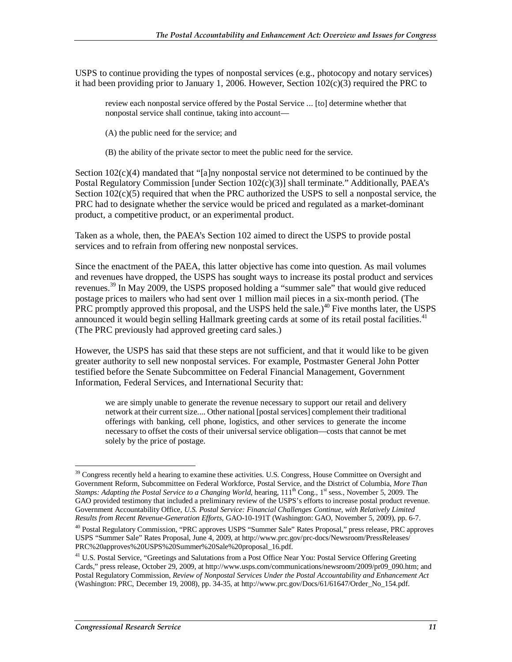USPS to continue providing the types of nonpostal services (e.g., photocopy and notary services) it had been providing prior to January 1, 2006. However, Section  $102(c)(3)$  required the PRC to

review each nonpostal service offered by the Postal Service ... [to] determine whether that nonpostal service shall continue, taking into account—

(A) the public need for the service; and

(B) the ability of the private sector to meet the public need for the service.

Section  $102(c)(4)$  mandated that "[a]ny nonpostal service not determined to be continued by the Postal Regulatory Commission [under Section 102(c)(3)] shall terminate." Additionally, PAEA's Section  $102(c)(5)$  required that when the PRC authorized the USPS to sell a nonpostal service, the PRC had to designate whether the service would be priced and regulated as a market-dominant product, a competitive product, or an experimental product.

Taken as a whole, then, the PAEA's Section 102 aimed to direct the USPS to provide postal services and to refrain from offering new nonpostal services.

Since the enactment of the PAEA, this latter objective has come into question. As mail volumes and revenues have dropped, the USPS has sought ways to increase its postal product and services revenues.<sup>39</sup> In May 2009, the USPS proposed holding a "summer sale" that would give reduced postage prices to mailers who had sent over 1 million mail pieces in a six-month period. (The PRC promptly approved this proposal, and the USPS held the sale.)<sup>40</sup> Five months later, the USPS announced it would begin selling Hallmark greeting cards at some of its retail postal facilities.<sup>41</sup> (The PRC previously had approved greeting card sales.)

However, the USPS has said that these steps are not sufficient, and that it would like to be given greater authority to sell new nonpostal services. For example, Postmaster General John Potter testified before the Senate Subcommittee on Federal Financial Management, Government Information, Federal Services, and International Security that:

we are simply unable to generate the revenue necessary to support our retail and delivery network at their current size.... Other national [postal services] complement their traditional offerings with banking, cell phone, logistics, and other services to generate the income necessary to offset the costs of their universal service obligation—costs that cannot be met solely by the price of postage.

<sup>-</sup> $39$  Congress recently held a hearing to examine these activities. U.S. Congress, House Committee on Oversight and Government Reform, Subcommittee on Federal Workforce, Postal Service, and the District of Columbia, *More Than Stamps: Adapting the Postal Service to a Changing World*, hearing, 111<sup>th</sup> Cong., 1<sup>st</sup> sess., November 5, 2009. The GAO provided testimony that included a preliminary review of the USPS's efforts to increase postal product revenue. Government Accountability Office, *U.S. Postal Service: Financial Challenges Continue, with Relatively Limited Results from Recent Revenue-Generation Efforts*, GAO-10-191T (Washington: GAO, November 5, 2009), pp. 6-7.

<sup>40</sup> Postal Regulatory Commission, "PRC approves USPS "Summer Sale" Rates Proposal," press release, PRC approves USPS "Summer Sale" Rates Proposal, June 4, 2009, at http://www.prc.gov/prc-docs/Newsroom/PressReleases/ PRC%20approves%20USPS%20Summer%20Sale%20proposal\_16.pdf.

<sup>&</sup>lt;sup>41</sup> U.S. Postal Service, "Greetings and Salutations from a Post Office Near You: Postal Service Offering Greeting Cards," press release, October 29, 2009, at http://www.usps.com/communications/newsroom/2009/pr09\_090.htm; and Postal Regulatory Commission, *Review of Nonpostal Services Under the Postal Accountability and Enhancement Act* (Washington: PRC, December 19, 2008), pp. 34-35, at http://www.prc.gov/Docs/61/61647/Order\_No\_154.pdf.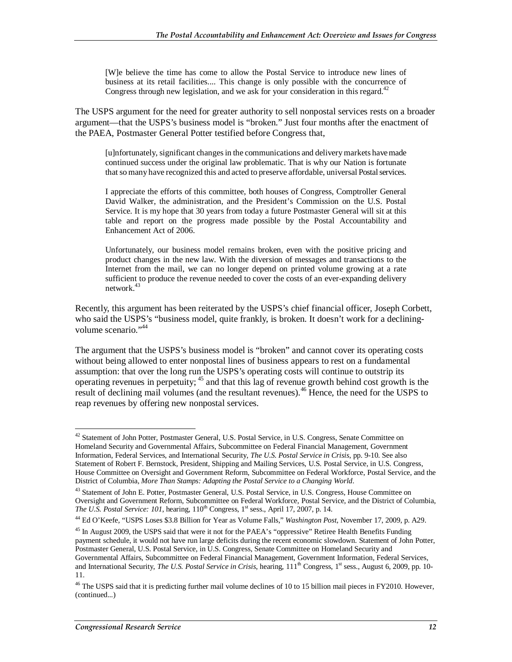[W]e believe the time has come to allow the Postal Service to introduce new lines of business at its retail facilities.... This change is only possible with the concurrence of Congress through new legislation, and we ask for your consideration in this regard.<sup>42</sup>

The USPS argument for the need for greater authority to sell nonpostal services rests on a broader argument—that the USPS's business model is "broken." Just four months after the enactment of the PAEA, Postmaster General Potter testified before Congress that,

[u]nfortunately, significant changes in the communications and delivery markets have made continued success under the original law problematic. That is why our Nation is fortunate that so many have recognized this and acted to preserve affordable, universal Postal services.

I appreciate the efforts of this committee, both houses of Congress, Comptroller General David Walker, the administration, and the President's Commission on the U.S. Postal Service. It is my hope that 30 years from today a future Postmaster General will sit at this table and report on the progress made possible by the Postal Accountability and Enhancement Act of 2006.

Unfortunately, our business model remains broken, even with the positive pricing and product changes in the new law. With the diversion of messages and transactions to the Internet from the mail, we can no longer depend on printed volume growing at a rate sufficient to produce the revenue needed to cover the costs of an ever-expanding delivery network.<sup>43</sup>

Recently, this argument has been reiterated by the USPS's chief financial officer, Joseph Corbett, who said the USPS's "business model, quite frankly, is broken. It doesn't work for a decliningvolume scenario."<sup>44</sup>

The argument that the USPS's business model is "broken" and cannot cover its operating costs without being allowed to enter nonpostal lines of business appears to rest on a fundamental assumption: that over the long run the USPS's operating costs will continue to outstrip its operating revenues in perpetuity; 45 and that this lag of revenue growth behind cost growth is the result of declining mail volumes (and the resultant revenues).<sup>46</sup> Hence, the need for the USPS to reap revenues by offering new nonpostal services.

<u>.</u>

<sup>&</sup>lt;sup>42</sup> Statement of John Potter, Postmaster General, U.S. Postal Service, in U.S. Congress, Senate Committee on Homeland Security and Governmental Affairs, Subcommittee on Federal Financial Management, Government Information, Federal Services, and International Security, *The U.S. Postal Service in Crisis*, pp. 9-10. See also Statement of Robert F. Bernstock, President, Shipping and Mailing Services, U.S. Postal Service, in U.S. Congress, House Committee on Oversight and Government Reform, Subcommittee on Federal Workforce, Postal Service, and the District of Columbia, *More Than Stamps: Adapting the Postal Service to a Changing World*.

<sup>&</sup>lt;sup>43</sup> Statement of John E. Potter, Postmaster General, U.S. Postal Service, in U.S. Congress, House Committee on Oversight and Government Reform, Subcommittee on Federal Workforce, Postal Service, and the District of Columbia, *The U.S. Postal Service: 101*, hearing,  $110^{th}$  Congress,  $1^{st}$  sess., April 17, 2007, p. 14.

<sup>44</sup> Ed O'Keefe, "USPS Loses \$3.8 Billion for Year as Volume Falls," *Washington Post*, November 17, 2009, p. A29.

<sup>&</sup>lt;sup>45</sup> In August 2009, the USPS said that were it not for the PAEA's "oppressive" Retiree Health Benefits Funding payment schedule, it would not have run large deficits during the recent economic slowdown. Statement of John Potter, Postmaster General, U.S. Postal Service, in U.S. Congress, Senate Committee on Homeland Security and Governmental Affairs, Subcommittee on Federal Financial Management, Government Information, Federal Services, and International Security, *The U.S. Postal Service in Crisis*, hearing, 111<sup>th</sup> Congress, 1<sup>st</sup> sess., August 6, 2009, pp. 10-11.

<sup>&</sup>lt;sup>46</sup> The USPS said that it is predicting further mail volume declines of 10 to 15 billion mail pieces in FY2010. However, (continued...)